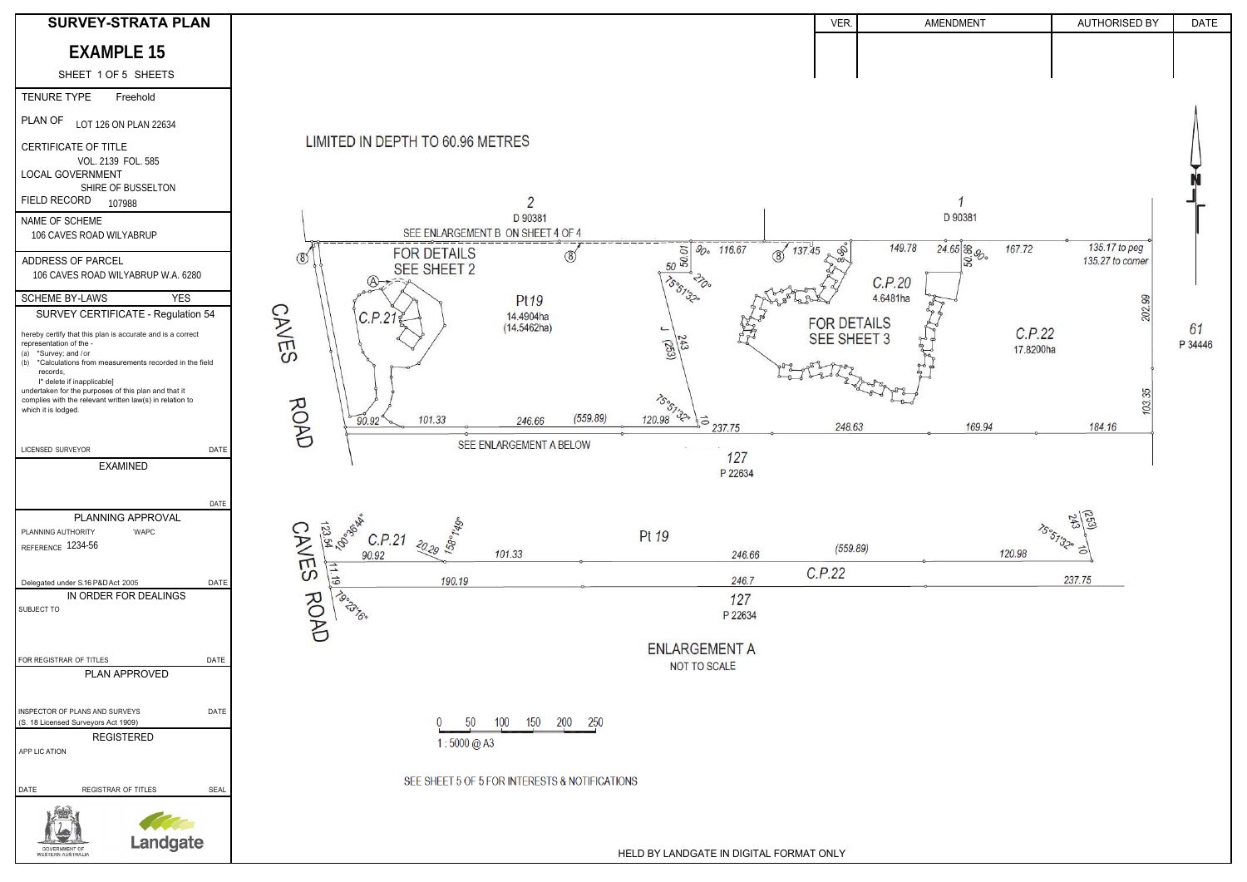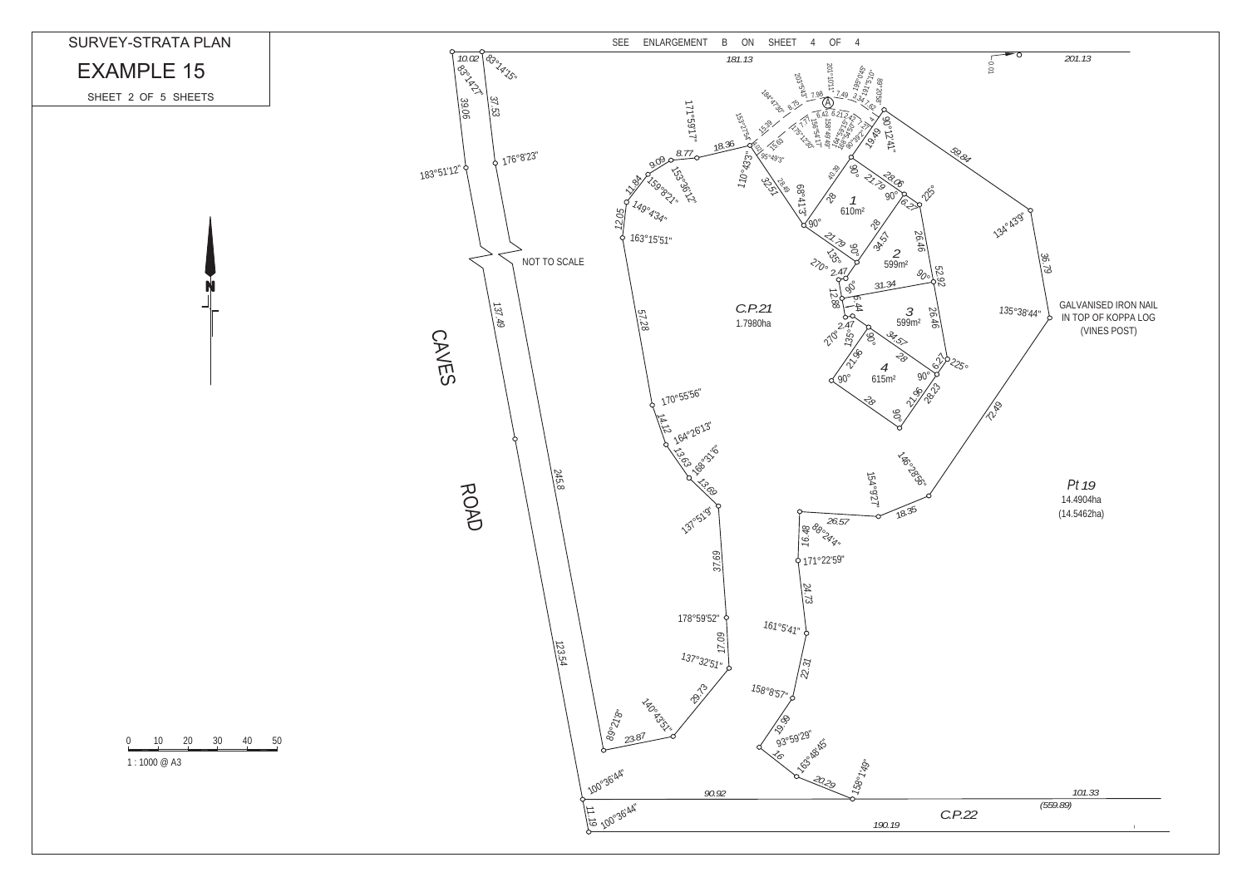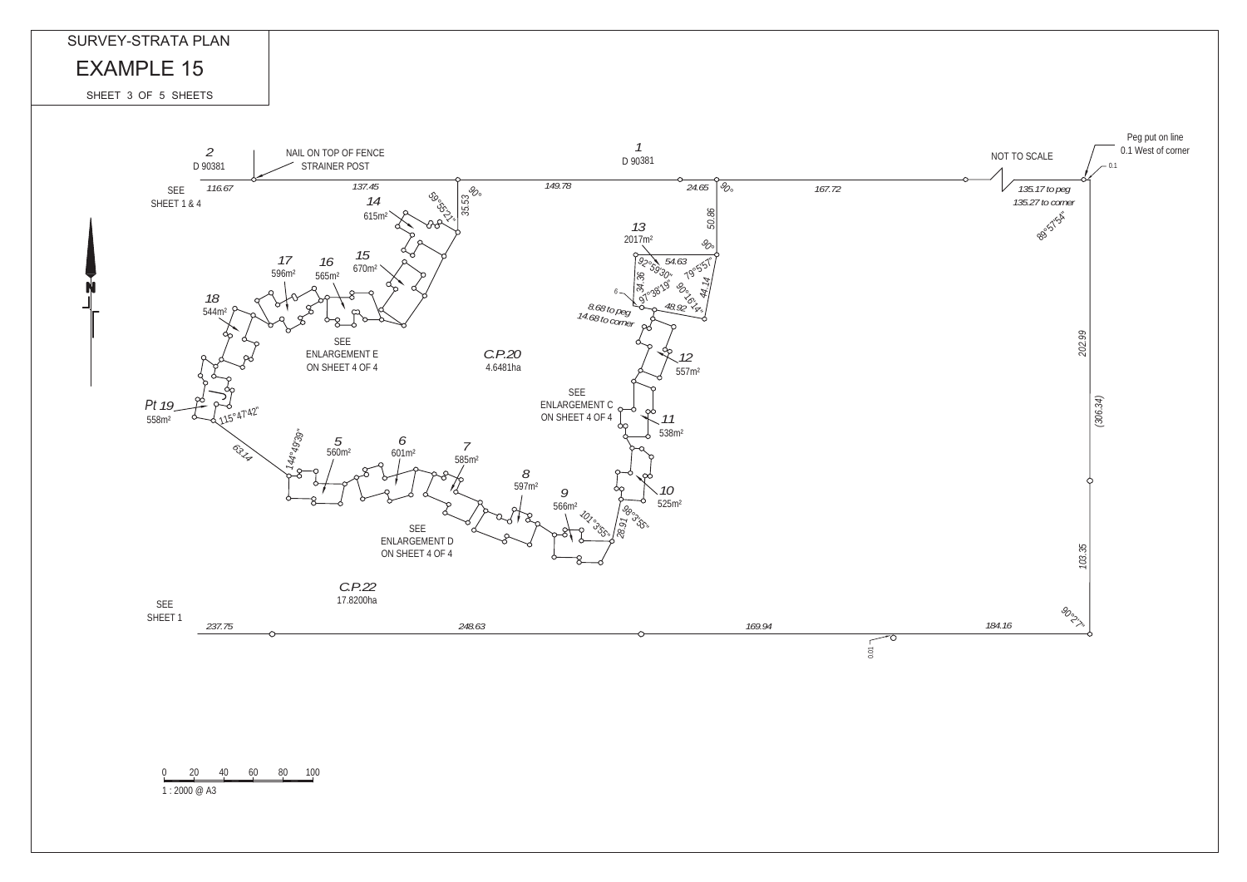0 20 40 60 80 100

1 : 2000 @ A3



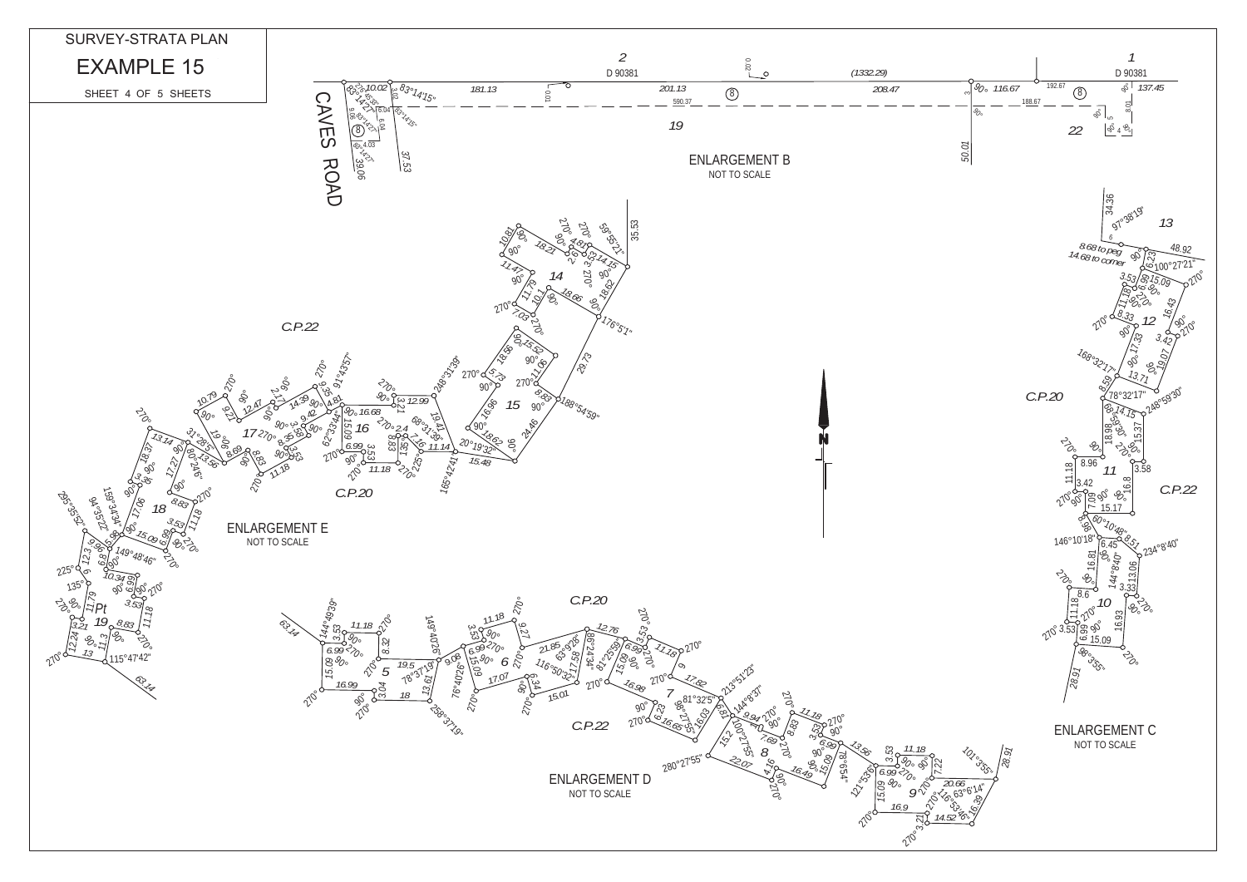